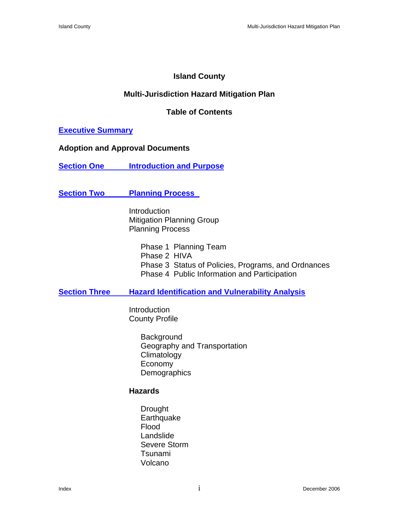# **Island County**

# **Multi-Jurisdiction Hazard Mitigation Plan**

## **Table of Contents**

### **Executive Summary**

#### **Adoption and Approval Documents**

**Section One Introduction and Purpose** 

## **Section Two Planning Process**

Introduction Mitigation Planning Group Planning Process

> Phase 1 Planning Team Phase 2 HIVA Phase 3 Status of Policies, Programs, and Ordnances Phase 4 Public Information and Participation

### **<u>Section Three</u> Hazard Identification and Vulnerability Analysis</u>**

 Introduction County Profile

> **Background** Geography and Transportation **Climatology** Economy **Demographics**

### **Hazards**

Drought **Earthquake** Flood Landslide Severe Storm Tsunami Volcano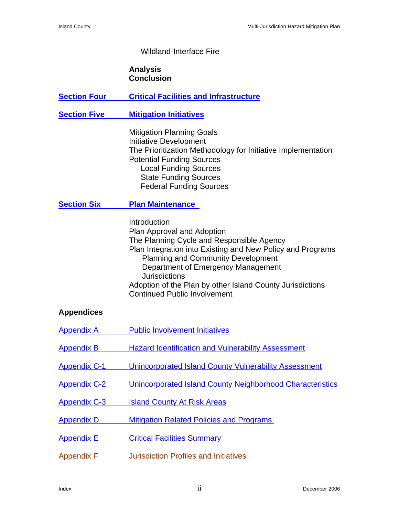# Wildland-Interface Fire

#### **Analysis Conclusion**

| <b>Section Four</b> | <b>Critical Facilities and Infrastructure</b>                                                                                                                                                                                                                                                                                                                        |
|---------------------|----------------------------------------------------------------------------------------------------------------------------------------------------------------------------------------------------------------------------------------------------------------------------------------------------------------------------------------------------------------------|
| <b>Section Five</b> | <b>Mitigation Initiatives</b>                                                                                                                                                                                                                                                                                                                                        |
|                     | <b>Mitigation Planning Goals</b><br><b>Initiative Development</b><br>The Prioritization Methodology for Initiative Implementation<br><b>Potential Funding Sources</b><br><b>Local Funding Sources</b><br><b>State Funding Sources</b><br><b>Federal Funding Sources</b>                                                                                              |
| <b>Section Six</b>  | <b>Plan Maintenance</b>                                                                                                                                                                                                                                                                                                                                              |
|                     | Introduction<br>Plan Approval and Adoption<br>The Planning Cycle and Responsible Agency<br>Plan Integration into Existing and New Policy and Programs<br><b>Planning and Community Development</b><br>Department of Emergency Management<br><b>Jurisdictions</b><br>Adoption of the Plan by other Island County Jurisdictions<br><b>Continued Public Involvement</b> |

## **Appendices**

| Appendix A          | <b>Public Involvement Initiatives</b>                     |
|---------------------|-----------------------------------------------------------|
| Appendix B          | <b>Hazard Identification and Vulnerability Assessment</b> |
| <b>Appendix C-1</b> | Unincorporated Island County Vulnerability Assessment     |
| Appendix C-2        | Unincorporated Island County Neighborhood Characteristics |
| <b>Appendix C-3</b> | <b>Island County At Risk Areas</b>                        |
| Appendix D          | <b>Mitigation Related Policies and Programs</b>           |
| <b>Appendix E</b>   | <b>Critical Facilities Summary</b>                        |
| <b>Appendix F</b>   | <b>Jurisdiction Profiles and Initiatives</b>              |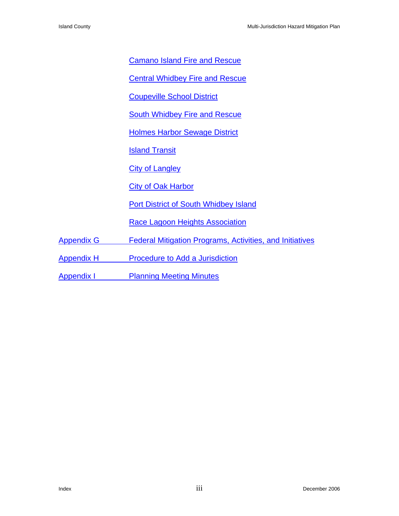Camano Island Fire and Rescue

Central Whidbey Fire and Rescue

Coupeville School District

**South Whidbey Fire and Rescue** 

Holmes Harbor Sewage District

**Island Transit** 

**City of Langley** 

City of Oak Harbor

Port District of South Whidbey Island

Race Lagoon Heights Association

Appendix G Federal Mitigation Programs, Activities, and Initiatives

Appendix H Procedure to Add a Jurisdiction

**Appendix I Planning Meeting Minutes**